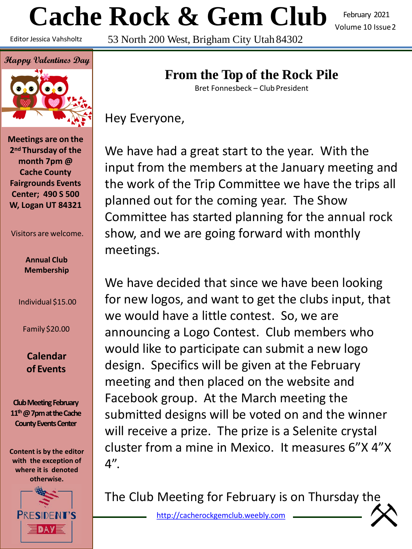# **Cache Rock & Gem Club**

Editor Jessica Vahsholtz

February 2021 Volume 10 Issue2

53 North 200 West, Brigham City Utah 84302



**Meetings are on the 2nd Thursday of the month 7pm @ Cache County Fairgrounds Events Center; 490 S 500 W, Logan UT 84321**

Visitors are welcome.

**Annual Club Membership**

Individual \$15.00

Family \$20.00

**Calendar of Events**

**Club Meeting February 11th@ 7pm at the Cache County Events Center**

**Content is by the editor with the exception of where it is denoted otherwise.**



# **From the Top of the Rock Pile**

Bret Fonnesbeck – Club President

Hey Everyone,

We have had a great start to the year. With the input from the members at the January meeting and the work of the Trip Committee we have the trips all planned out for the coming year. The Show Committee has started planning for the annual rock show, and we are going forward with monthly meetings.

We have decided that since we have been looking for new logos, and want to get the clubs input, that we would have a little contest. So, we are announcing a Logo Contest. Club members who would like to participate can submit a new logo design. Specifics will be given at the February meeting and then placed on the website and Facebook group. At the March meeting the submitted designs will be voted on and the winner will receive a prize. The prize is a Selenite crystal cluster from a mine in Mexico. It measures 6"X 4"X 4".

The Club Meeting for February is on Thursday the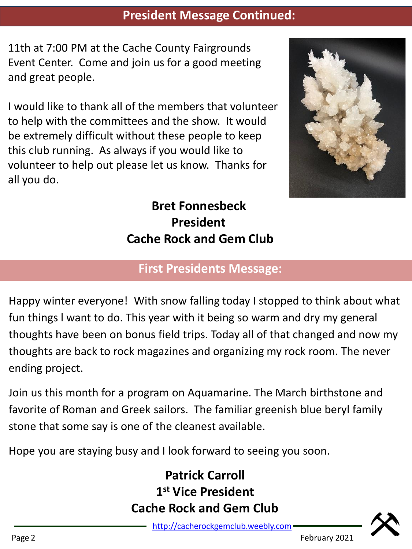#### **President Message Continued:**

11th at 7:00 PM at the Cache County Fairgrounds Event Center. Come and join us for a good meeting and great people.

I would like to thank all of the members that volunteer to help with the committees and the show. It would be extremely difficult without these people to keep this club running. As always if you would like to volunteer to help out please let us know. Thanks for all you do.



# **Bret Fonnesbeck President Cache Rock and Gem Club**

# **First Presidents Message:**

Happy winter everyone! With snow falling today I stopped to think about what fun things l want to do. This year with it being so warm and dry my general thoughts have been on bonus field trips. Today all of that changed and now my thoughts are back to rock magazines and organizing my rock room. The never ending project.

Join us this month for a program on Aquamarine. The March birthstone and favorite of Roman and Greek sailors. The familiar greenish blue beryl family stone that some say is one of the cleanest available.

Hope you are staying busy and I look forward to seeing you soon.

# **Patrick Carroll 1 st Vice President Cache Rock and Gem Club**

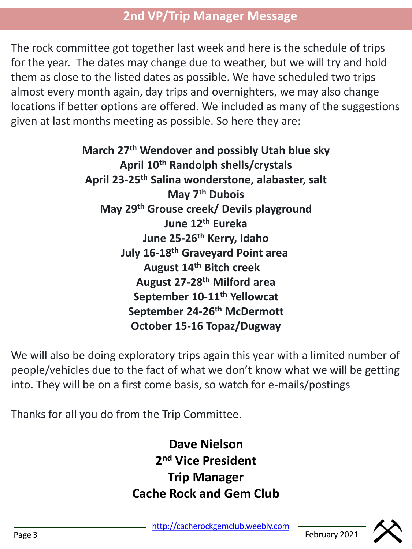# **2nd VP/Trip Manager Message**

The rock committee got together last week and here is the schedule of trips for the year. The dates may change due to weather, but we will try and hold them as close to the listed dates as possible. We have scheduled two trips almost every month again, day trips and overnighters, we may also change locations if better options are offered. We included as many of the suggestions given at last months meeting as possible. So here they are:

> **March 27th Wendover and possibly Utah blue sky April 10th Randolph shells/crystals April 23-25th Salina wonderstone, alabaster, salt May 7th Dubois May 29th Grouse creek/ Devils playground June 12th Eureka June 25-26th Kerry, Idaho July 16-18th Graveyard Point area August 14th Bitch creek August 27-28th Milford area September 10-11th Yellowcat September 24-26th McDermott October 15-16 Topaz/Dugway**

We will also be doing exploratory trips again this year with a limited number of people/vehicles due to the fact of what we don't know what we will be getting into. They will be on a first come basis, so watch for e-mails/postings

Thanks for all you do from the Trip Committee.

**Dave Nielson 2 nd Vice President Trip Manager Cache Rock and Gem Club**

[http://cacherockgemclub.weebly.com](http://cacherockgemclub.weebly.com/) Page 3 February 2021

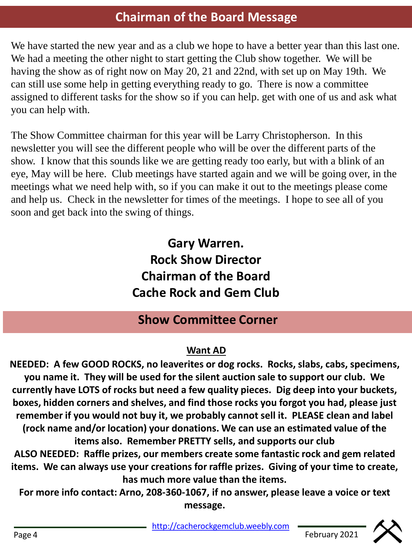# **Chairman of the Board Message**

We have started the new year and as a club we hope to have a better year than this last one. We had a meeting the other night to start getting the Club show together. We will be having the show as of right now on May 20, 21 and 22nd, with set up on May 19th. We can still use some help in getting everything ready to go. There is now a committee assigned to different tasks for the show so if you can help. get with one of us and ask what you can help with.

The Show Committee chairman for this year will be Larry Christopherson. In this newsletter you will see the different people who will be over the different parts of the show. I know that this sounds like we are getting ready too early, but with a blink of an eye, May will be here. Club meetings have started again and we will be going over, in the meetings what we need help with, so if you can make it out to the meetings please come and help us. Check in the newsletter for times of the meetings. I hope to see all of you soon and get back into the swing of things.

> **Gary Warren. Rock Show Director Chairman of the Board Cache Rock and Gem Club**

### **Show Committee Corner**

#### **Want AD**

**NEEDED: A few GOOD ROCKS, no leaverites or dog rocks. Rocks, slabs, cabs, specimens, you name it. They will be used for the silent auction sale to support our club. We currently have LOTS of rocks but need a few quality pieces. Dig deep into your buckets, boxes, hidden corners and shelves, and find those rocks you forgot you had, please just remember if you would not buy it, we probably cannot sell it. PLEASE clean and label (rock name and/or location) your donations. We can use an estimated value of the items also. Remember PRETTY sells, and supports our club ALSO NEEDED: Raffle prizes, our members create some fantastic rock and gem related items. We can always use your creations for raffle prizes. Giving of your time to create, has much more value than the items.**

**For more info contact: Arno, 208-360-1067, if no answer, please leave a voice or text message.** 

[http://cacherockgemclub.weebly.com](http://cacherockgemclub.weebly.com/) <u>nttp://cacherockgemclub.weebly.com</u>

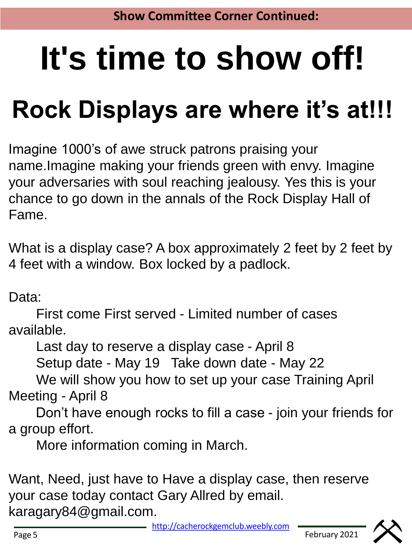# **It's time to show off!**

# **Rock Displays are where it's at!!!**

Imagine 1000's of awe struck patrons praising your name.Imagine making your friends green with envy. Imagine your adversaries with soul reaching jealousy. Yes this is your chance to go down in the annals of the Rock Display Hall of Fame.

What is a display case? A box approximately 2 feet by 2 feet by 4 feet with a window. Box locked by a padlock.

Data:

First come First served - Limited number of cases available.

Last day to reserve a display case - April 8

Setup date - May 19 Take down date - May 22

We will show you how to set up your case Training April Meeting - April 8

Don't have enough rocks to fill a case - join your friends for a group effort.

More information coming in March.

Want, Need, just have to Have a display case, then reserve your case today contact Gary Allred by email. karagary84@gmail.com.

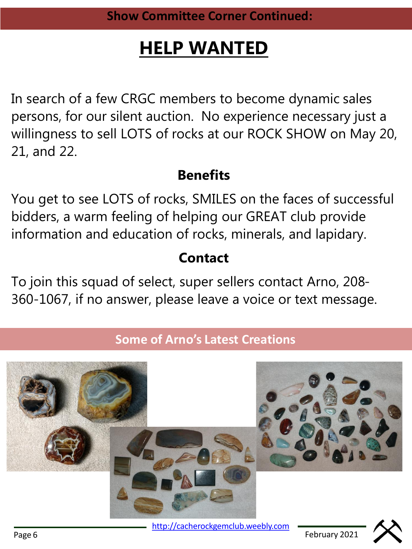# **HELP WANTED**

In search of a few CRGC members to become dynamic sales persons, for our silent auction. No experience necessary just a willingness to sell LOTS of rocks at our ROCK SHOW on May 20, 21, and 22.

# **Benefits**

You get to see LOTS of rocks, SMILES on the faces of successful bidders, a warm feeling of helping our GREAT club provide information and education of rocks, minerals, and lapidary.

# **Contact**

To join this squad of select, super sellers contact Arno, 208- 360-1067, if no answer, please leave a voice or text message.

# **Some of Arno's Latest Creations**



[http://cacherockgemclub.weebly.com](http://cacherockgemclub.weebly.com/) Page 6 February 2021

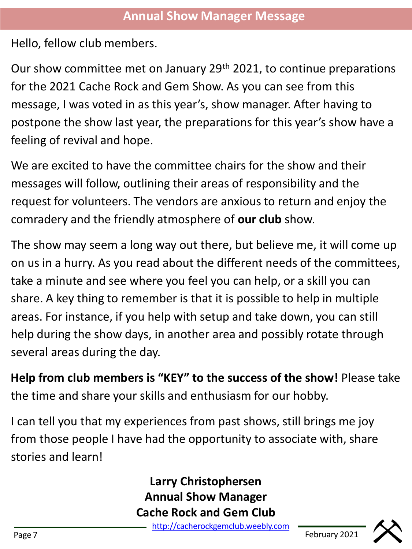Hello, fellow club members.

Our show committee met on January 29th 2021, to continue preparations for the 2021 Cache Rock and Gem Show. As you can see from this message, I was voted in as this year's, show manager. After having to postpone the show last year, the preparations for this year's show have a feeling of revival and hope.

We are excited to have the committee chairs for the show and their messages will follow, outlining their areas of responsibility and the request for volunteers. The vendors are anxious to return and enjoy the comradery and the friendly atmosphere of **our club** show.

The show may seem a long way out there, but believe me, it will come up on us in a hurry. As you read about the different needs of the committees, take a minute and see where you feel you can help, or a skill you can share. A key thing to remember is that it is possible to help in multiple areas. For instance, if you help with setup and take down, you can still help during the show days, in another area and possibly rotate through several areas during the day.

**Help from club members is "KEY" to the success of the show!** Please take the time and share your skills and enthusiasm for our hobby.

I can tell you that my experiences from past shows, still brings me joy from those people I have had the opportunity to associate with, share stories and learn!

> **Larry Christophersen Annual Show Manager Cache Rock and Gem Club**

[http://cacherockgemclub.weebly.com](http://cacherockgemclub.weebly.com/) Page 7 February 2021

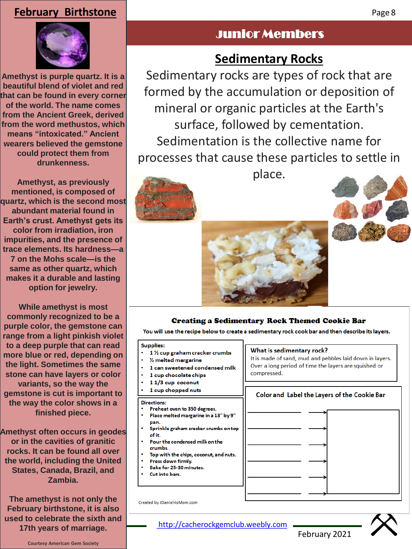#### **February Birthstone**



**Amethyst is purple quartz. It is a beautiful blend of violet and red that can be found in every corner of the world. The name comes from the Ancient Greek, derived from the word methustos, which means "intoxicated." Ancient wearers believed the gemstone could protect them from drunkenness.**

**Amethyst, as previously mentioned, is composed of quartz, which is the second most abundant material found in Earth's crust. Amethyst gets its color from irradiation, iron impurities, and the presence of trace elements. Its hardness—a 7 on the Mohs scale—is the same as other quartz, which makes it a durable and lasting option for jewelry.**

**While amethyst is most commonly recognized to be a purple color, the gemstone can range from a light pinkish violet to a deep purple that can read more blue or red, depending on the light. Sometimes the same stone can have layers or color variants, so the way the gemstone is cut is important to the way the color shows in a finished piece.**

**Amethyst often occurs in geodes or in the cavities of granitic rocks. It can be found all over the world, including the United States, Canada, Brazil, and Zambia.**

**The amethyst is not only the February birthstone, it is also used to celebrate the sixth and 17th years of marriage.**

# Junior Members

# **Sedimentary Rocks**

Sedimentary rocks are types of rock that are formed by the accumulation or deposition of mineral or organic particles at the Earth's surface, followed by cementation. Sedimentation is the collective name for processes that cause these particles to settle in



place.





#### **Creating a Sedimentary Rock Themed Cookie Bar**

You will use the recipe below to create a sedimentary rock cook bar and then describe its layers.

compressed.

**Supplies:** 

- 1 % cup graham cracker crumbs
- 1/2 melted margarine
- 1 can sweetened condensed milk
- 1 cup chocolate chips
- 11/3 cup coconut
- 1 cup chopped nuts

#### **Directions:**

- Preheat oven to 350 degrees.
- Place melted margarine in a 13" by 9" pan.
- Sprinkle graham cracker crumbs on top of it.
	- Pour the condensed milk on the crumbs.
- Top with the chips, coconut, and nuts.
- Press down firmly.
- Bake for 25-30 minutes.
- Cut into bars.



What is sedimentary rock?

It is made of sand, mud and pebbles laid down in layers.

Color and Label the Layers of the Cookie Bar

Over a long period of time the layers are squished or

February 2021

Created by JDaniel4sMom.com

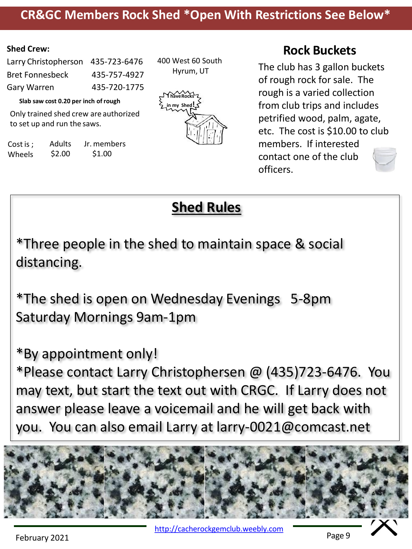#### **CR&GC Members Rock Shed \*Open With Restrictions See Below\***

#### **Shed Crew:**

| Larry Christopherson 435-723-6476 |              |
|-----------------------------------|--------------|
| Bret Fonnesbeck                   | 435-757-4927 |
| Gary Warren                       | 435-720-1775 |

**Slab saw cost 0.20 per inch ofrough**

Only trained shed crew are authorized to set up and run the saws.

Cost is ; Wheels Adults \$2.00 Jr. members \$1.00

400 West 60 South Hyrum, UT



#### **Rock Buckets**

The club has 3 gallon buckets of rough rock for sale. The rough is a varied collection from club trips and includes petrified wood, palm, agate, etc. The cost is \$10.00 to club members. If interested contact one of the club officers.



\*Three people in the shed to maintain space & social distancing.

\*The shed is open on Wednesday Evenings 5-8pm Saturday Mornings 9am-1pm

\*By appointment only!

\*Please contact Larry Christophersen @ (435)723-6476. You may text, but start the text out with CRGC. If Larry does not answer please leave a voicemail and he will get back with you. You can also email Larry at larry-0021@comcast.net



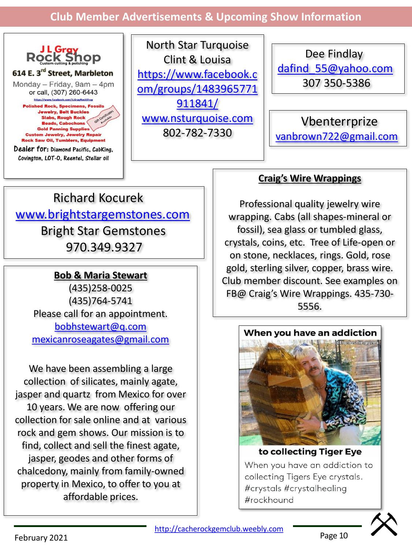**Club Member Advertisements & Upcoming Show Information**



North Star Turquoise Clint & Louisa https://www.facebook.c [om/groups/1483965771](https://www.facebook.com/groups/1483965771911841/) 911841/ [www.nsturquoise.com](http://www.nsturquoise.com/) 802-782-7330

Dee Findlay [dafind\\_55@yahoo.com](mailto:dafind_55@yahoo.com) 307 350-5386

Vbenterrprize [vanbrown722@gmail.com](mailto:vanbrown722@gmail.com)

# Richard Kocurek [www.brightstargemstones.com](http://www.brightstargemstones.com/) Bright Star Gemstones 970.349.9327

#### **Bob & Maria Stewart**

(435)258-0025 (435)764-5741 Please call for an appointment. [bobhstewart@q.com](mailto:bobhstewart@q.com) [mexicanroseagates@gmail.com](mailto:mexicanroseagates@gmail.com)

We have been assembling a large collection of silicates, mainly agate, jasper and quartz from Mexico for over 10 years. We are now offering our collection for sale online and at various rock and gem shows. Our mission is to find, collect and sell the finest agate, jasper, geodes and other forms of chalcedony, mainly from family-owned property in Mexico, to offer to you at affordable prices.

#### **Craig's Wire Wrappings**

Professional quality jewelry wire wrapping. Cabs (all shapes-mineral or fossil), sea glass or tumbled glass, crystals, coins, etc. Tree of Life-open or on stone, necklaces, rings. Gold, rose gold, sterling silver, copper, brass wire. Club member discount. See examples on FB@ Craig's Wire Wrappings. 435-730- 5556.



#### to collecting Tiger Eye When you have an addiction to collecting Tigers Eye crystals. #crystals #crystalhealing #rockhound